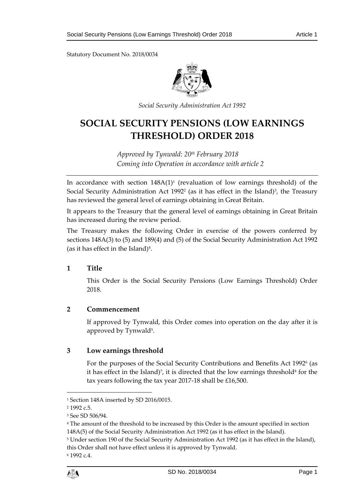Statutory Document No. 2018/0034



*Social Security Administration Act 1992*

# **SOCIAL SECURITY PENSIONS (LOW EARNINGS THRESHOLD) ORDER 2018**

*Approved by Tynwald: 20th February 2018 Coming into Operation in accordance with article 2*

In accordance with section  $148A(1)^1$  (revaluation of low earnings threshold) of the Social Security Administration Act 1992<sup>2</sup> (as it has effect in the Island)<sup>3</sup>, the Treasury has reviewed the general level of earnings obtaining in Great Britain.

It appears to the Treasury that the general level of earnings obtaining in Great Britain has increased during the review period.

The Treasury makes the following Order in exercise of the powers conferred by sections 148A(3) to (5) and 189(4) and (5) of the Social Security Administration Act 1992 (as it has effect in the Island) $4$ .

### **1 Title**

This Order is the Social Security Pensions (Low Earnings Threshold) Order 2018.

### **2 Commencement**

If approved by Tynwald, this Order comes into operation on the day after it is approved by Tynwald<sup>5</sup>.

### **3 Low earnings threshold**

For the purposes of the Social Security Contributions and Benefits Act 1992<sup>6</sup> (as it has effect in the Island)<sup>*,*</sup>, it is directed that the low earnings threshold<sup>8</sup> for the tax years following the tax year 2017-18 shall be £16,500.

1

<sup>1</sup> Section 148A inserted by SD 2016/0015.

<sup>2</sup> 1992 c.5.

<sup>3</sup> See SD 506/94.

<sup>4</sup> The amount of the threshold to be increased by this Order is the amount specified in section

<sup>148</sup>A(5) of the Social Security Administration Act 1992 (as it has effect in the Island).

<sup>5</sup> Under section 190 of the Social Security Administration Act 1992 (as it has effect in the Island), this Order shall not have effect unless it is approved by Tynwald.

<sup>6</sup> 1992 c.4.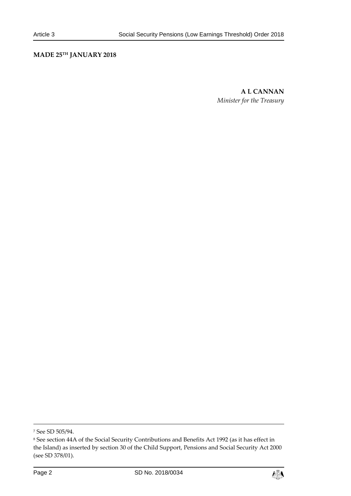### **MADE 25TH JANUARY 2018**

**A L CANNAN** *Minister for the Treasury*

1



<sup>7</sup> See SD 505/94.

<sup>8</sup> See section 44A of the Social Security Contributions and Benefits Act 1992 (as it has effect in the Island) as inserted by section 30 of the Child Support, Pensions and Social Security Act 2000 (see SD 378/01).